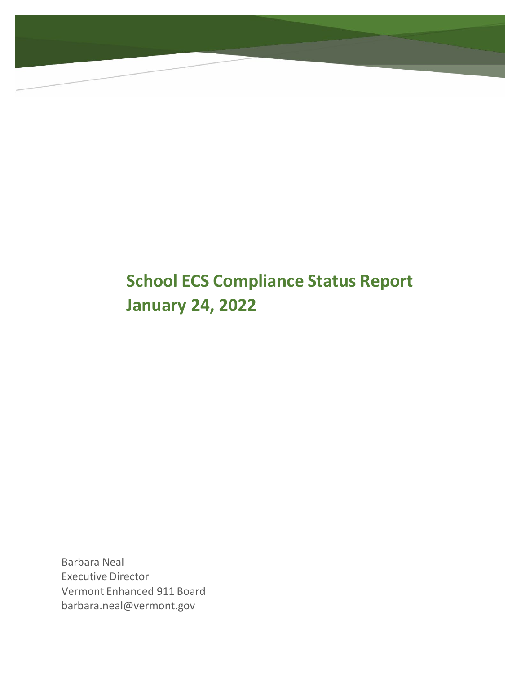# **School ECS Compliance Status Report January 24, 2022**

Barbara Neal Executive Director Vermont Enhanced 911 Board [barbara.neal@vermont.gov](mailto:barbara.neal@vermont.gov)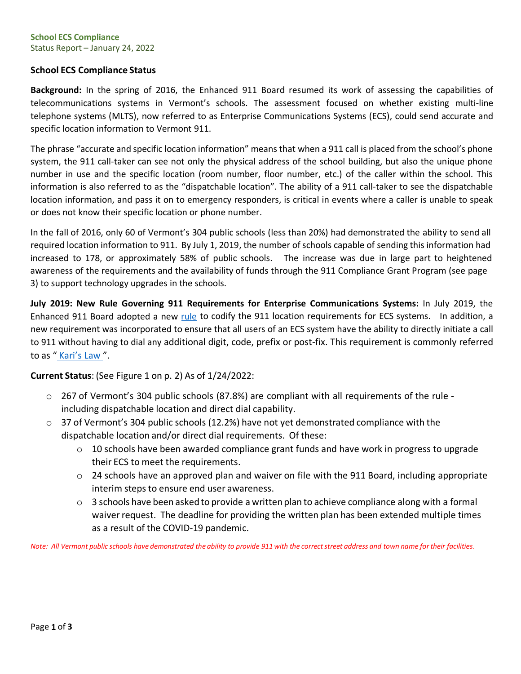#### **School ECS Compliance** Status Report – January 24, 2022

# **School ECS Compliance Status**

**Background:** In the spring of 2016, the Enhanced 911 Board resumed its work of assessing the capabilities of telecommunications systems in Vermont's schools. The assessment focused on whether existing multi-line telephone systems (MLTS), now referred to as Enterprise Communications Systems (ECS), could send accurate and specific location information to Vermont 911.

The phrase "accurate and specific location information" means that when a 911 call is placed from the school's phone system, the 911 call-taker can see not only the physical address of the school building, but also the unique phone number in use and the specific location (room number, floor number, etc.) of the caller within the school. This information is also referred to as the "dispatchable location". The ability of a 911 call-taker to see the dispatchable location information, and pass it on to emergency responders, is critical in events where a caller is unable to speak or does not know their specific location or phone number.

In the fall of 2016, only 60 of Vermont's 304 public schools (less than 20%) had demonstrated the ability to send all required location information to 911. By July 1, 2019, the number of schools capable of sending this information had increased to 178, or approximately 58% of public schools. The increase was due in large part to heightened awareness of the requirements and the availability of funds through the 911 Compliance Grant Program (see page 3) to support technology upgrades in the schools.

**July 2019: New Rule Governing 911 Requirements for Enterprise Communications Systems:** In July 2019, the Enhanced 911 Board adopted a new [rule](https://e911.vermont.gov/sites/nineoneone/files/documents/E911-ECSRule_FINAL_May2019.pdf) to codify the 911 location requirements for ECS systems. In addition, a new requirement was incorporated to ensure that all users of an ECS system have the ability to directly initiate a call to 911 without having to dial any additional digit, code, prefix or post-fix. This requirement is commonly referred to as " [Kari's](https://efficientgov.com/blog/2019/08/15/fcc-approves-direct-dial-to-911/) Law ".

**Current Status**: (See Figure 1 on p. 2) As of 1/24/2022:

- o 267 of Vermont's 304 public schools (87.8%) are compliant with all requirements of the rule including dispatchable location and direct dial capability.
- $\circ$  37 of Vermont's 304 public schools (12.2%) have not yet demonstrated compliance with the dispatchable location and/or direct dial requirements. Of these:
	- o 10 schools have been awarded compliance grant funds and have work in progress to upgrade their ECS to meet the requirements.
	- $\circ$  24 schools have an approved plan and waiver on file with the 911 Board, including appropriate interim steps to ensure end user awareness.
	- $\circ$  3 schools have been asked to provide a written plan to achieve compliance along with a formal waiver request. The deadline for providing the written plan has been extended multiple times as a result of the COVID-19 pandemic.

Note: All Vermont public schools have demonstrated the ability to provide 911 with the correct street address and town name for their facilities.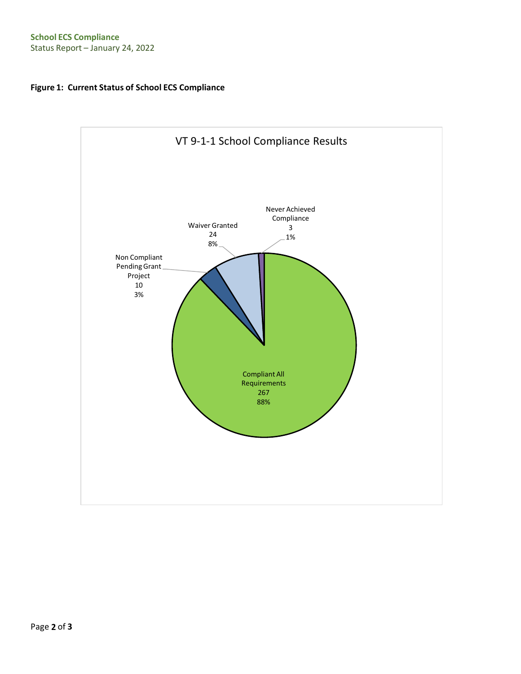# **Figure 1: Current Status of School ECS Compliance**